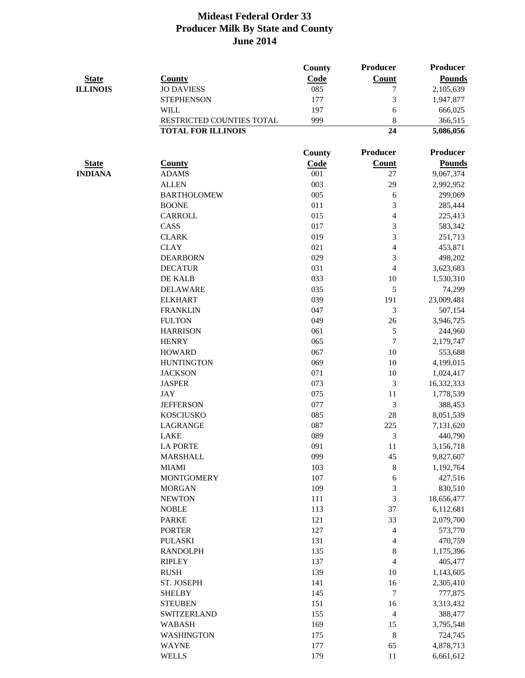|                                |                                    | <b>County</b> | <b>Producer</b>          | Producer      |
|--------------------------------|------------------------------------|---------------|--------------------------|---------------|
| <b>State</b>                   | <b>County</b>                      | Code          | <b>Count</b>             | <b>Pounds</b> |
| <b>ILLINOIS</b>                | <b>JO DAVIESS</b>                  | 085           | 7                        | 2,105,639     |
|                                | <b>STEPHENSON</b>                  | 177           | 3                        | 1,947,877     |
|                                | <b>WILL</b>                        | 197           | 6                        | 666,025       |
|                                | RESTRICTED COUNTIES TOTAL          | 999           | 8                        | 366,515       |
|                                | <b>TOTAL FOR ILLINOIS</b>          |               | 24                       | 5,086,056     |
|                                |                                    | <b>County</b> | Producer                 | Producer      |
|                                |                                    |               |                          | <b>Pounds</b> |
| <b>State</b><br><b>INDIANA</b> | <b>County</b><br><b>ADAMS</b>      | Code<br>001   | <b>Count</b><br>27       |               |
|                                |                                    | 003           |                          | 9,067,374     |
|                                | <b>ALLEN</b>                       | 005           | 29                       | 2,992,952     |
|                                | <b>BARTHOLOMEW</b><br><b>BOONE</b> | 011           | 6                        | 299,069       |
|                                |                                    |               | 3                        | 285,444       |
|                                | <b>CARROLL</b>                     | 015           | $\overline{\mathcal{A}}$ | 225,413       |
|                                | CASS                               | 017           | 3                        | 583,342       |
|                                | <b>CLARK</b>                       | 019           | 3                        | 251,713       |
|                                | <b>CLAY</b>                        | 021           | 4                        | 453,871       |
|                                | <b>DEARBORN</b>                    | 029           | 3                        | 498,202       |
|                                | <b>DECATUR</b>                     | 031           | $\overline{4}$           | 3,623,683     |
|                                | DE KALB                            | 033           | 10                       | 1,530,310     |
|                                | <b>DELAWARE</b>                    | 035           | 5                        | 74,299        |
|                                | <b>ELKHART</b>                     | 039           | 191                      | 23,009,481    |
|                                | <b>FRANKLIN</b>                    | 047           | 3                        | 507,154       |
|                                | <b>FULTON</b>                      | 049           | 26                       | 3,946,725     |
|                                | <b>HARRISON</b>                    | 061           | 5                        | 244,960       |
|                                | <b>HENRY</b>                       | 065           | $\tau$                   | 2,179,747     |
|                                | <b>HOWARD</b>                      | 067           | 10                       | 553,688       |
|                                | <b>HUNTINGTON</b>                  | 069           | 10                       | 4,199,015     |
|                                | <b>JACKSON</b>                     | 071           | 10                       | 1,024,417     |
|                                | <b>JASPER</b>                      | 073           | 3                        | 16,332,333    |
|                                | <b>JAY</b>                         | 075           | 11                       | 1,778,539     |
|                                | <b>JEFFERSON</b>                   | 077           | $\mathfrak{Z}$           | 388,453       |
|                                | <b>KOSCIUSKO</b>                   | 085           | 28                       | 8,051,539     |
|                                | LAGRANGE                           | 087           | 225                      | 7,131,620     |
|                                | LAKE                               | 089           | 3                        | 440,790       |
|                                | <b>LA PORTE</b>                    | 091           | 11                       | 3,156,718     |
|                                | <b>MARSHALL</b>                    | 099           | 45                       | 9,827,607     |
|                                | <b>MIAMI</b>                       | 103           | 8                        | 1,192,764     |
|                                | <b>MONTGOMERY</b>                  | 107           | 6                        | 427,516       |
|                                | <b>MORGAN</b>                      | 109           | 3                        | 830,510       |
|                                | <b>NEWTON</b>                      | 111           | 3                        | 18,656,477    |
|                                | <b>NOBLE</b>                       | 113           | 37                       | 6,112,681     |
|                                | <b>PARKE</b>                       | 121           | 33                       | 2,079,700     |
|                                | <b>PORTER</b>                      | 127           | 4                        | 573,770       |
|                                | <b>PULASKI</b>                     | 131           | 4                        | 470,759       |
|                                | <b>RANDOLPH</b>                    | 135           | $8\,$                    | 1,175,396     |
|                                | <b>RIPLEY</b>                      | 137           | $\overline{4}$           | 405,477       |
|                                | <b>RUSH</b>                        | 139           | 10                       | 1,143,605     |
|                                | ST. JOSEPH                         | 141           | 16                       | 2,305,410     |
|                                | <b>SHELBY</b>                      | 145           | $\overline{7}$           | 777,875       |
|                                | <b>STEUBEN</b>                     | 151           | 16                       | 3,313,432     |
|                                | SWITZERLAND                        | 155           | $\overline{\mathcal{A}}$ | 388,477       |
|                                | <b>WABASH</b>                      | 169           | 15                       | 3,795,548     |
|                                | <b>WASHINGTON</b>                  | 175           | 8                        | 724,745       |
|                                | <b>WAYNE</b>                       | 177           | 65                       | 4,878,713     |
|                                | <b>WELLS</b>                       | 179           | 11                       | 6,661,612     |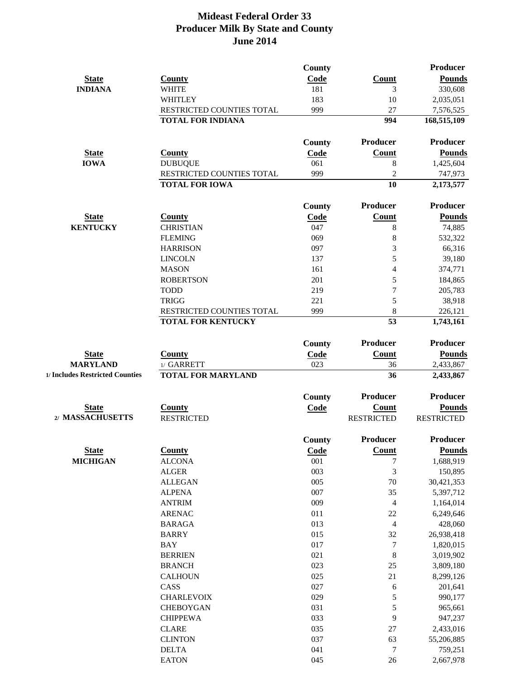|                                 |                           | County        |                   | <b>Producer</b>   |
|---------------------------------|---------------------------|---------------|-------------------|-------------------|
| <b>State</b>                    | <b>County</b>             | Code          | <b>Count</b>      | <b>Pounds</b>     |
| <b>INDIANA</b>                  | <b>WHITE</b>              | 181           | 3                 | 330,608           |
|                                 | <b>WHITLEY</b>            | 183           | 10                | 2,035,051         |
|                                 | RESTRICTED COUNTIES TOTAL | 999           | 27                | 7,576,525         |
|                                 | <b>TOTAL FOR INDIANA</b>  |               | 994               | 168,515,109       |
|                                 |                           | County        | Producer          | Producer          |
| <b>State</b>                    | <b>County</b>             | <b>Code</b>   | <b>Count</b>      | <b>Pounds</b>     |
| <b>IOWA</b>                     | <b>DUBUQUE</b>            | 061           | 8                 | 1,425,604         |
|                                 | RESTRICTED COUNTIES TOTAL | 999           | $\overline{c}$    | 747,973           |
|                                 | <b>TOTAL FOR IOWA</b>     |               | 10                | 2,173,577         |
|                                 |                           | <b>County</b> | <b>Producer</b>   | <b>Producer</b>   |
| <b>State</b>                    | <b>County</b>             | Code          | <b>Count</b>      | <b>Pounds</b>     |
| <b>KENTUCKY</b>                 | <b>CHRISTIAN</b>          | 047           | 8                 | 74,885            |
|                                 | <b>FLEMING</b>            | 069           | 8                 | 532,322           |
|                                 | <b>HARRISON</b>           | 097           | 3                 | 66,316            |
|                                 | <b>LINCOLN</b>            | 137           | 5                 | 39,180            |
|                                 | <b>MASON</b>              | 161           | $\overline{4}$    | 374,771           |
|                                 | <b>ROBERTSON</b>          | 201           | 5                 | 184,865           |
|                                 | <b>TODD</b>               | 219           | $\overline{7}$    | 205,783           |
|                                 | <b>TRIGG</b>              | 221           | 5                 | 38,918            |
|                                 | RESTRICTED COUNTIES TOTAL | 999           | 8                 | 226,121           |
|                                 | <b>TOTAL FOR KENTUCKY</b> |               | 53                | 1,743,161         |
|                                 |                           | <b>County</b> | <b>Producer</b>   | <b>Producer</b>   |
| <b>State</b>                    | <b>County</b>             | Code          | <b>Count</b>      | <b>Pounds</b>     |
| <b>MARYLAND</b>                 | 1/ GARRETT                | 023           | 36                | 2,433,867         |
| 1/ Includes Restricted Counties | <b>TOTAL FOR MARYLAND</b> |               | 36                | 2,433,867         |
|                                 |                           | <b>County</b> | <b>Producer</b>   | Producer          |
| <b>State</b>                    | <b>County</b>             | Code          | <b>Count</b>      | <b>Pounds</b>     |
| 2/ MASSACHUSETTS                | <b>RESTRICTED</b>         |               | <b>RESTRICTED</b> | <b>RESTRICTED</b> |
|                                 |                           | <b>County</b> | Producer          | Producer          |
| <b>State</b>                    | <b>County</b>             | Code          | Count             | <b>Pounds</b>     |
| <b>MICHIGAN</b>                 | <b>ALCONA</b>             | 001           | $\sqrt{ }$        | 1,688,919         |
|                                 | <b>ALGER</b>              | 003           | 3                 | 150,895           |
|                                 | <b>ALLEGAN</b>            | 005           | 70                | 30,421,353        |
|                                 | <b>ALPENA</b>             | 007           | 35                | 5,397,712         |
|                                 | <b>ANTRIM</b>             | 009           | $\overline{4}$    | 1,164,014         |
|                                 | <b>ARENAC</b>             | 011           | 22                | 6,249,646         |
|                                 | <b>BARAGA</b>             | 013           | $\overline{4}$    | 428,060           |
|                                 | <b>BARRY</b>              | 015           | 32                | 26,938,418        |
|                                 | <b>BAY</b>                | 017           | $\overline{7}$    | 1,820,015         |
|                                 | <b>BERRIEN</b>            | 021           | 8                 | 3,019,902         |
|                                 | <b>BRANCH</b>             | 023           | 25                | 3,809,180         |
|                                 | <b>CALHOUN</b>            | 025           | 21                | 8,299,126         |
|                                 | CASS                      | 027           | 6                 | 201,641           |
|                                 | <b>CHARLEVOIX</b>         | 029           | 5                 | 990,177           |
|                                 | <b>CHEBOYGAN</b>          | 031           | 5                 | 965,661           |
|                                 | <b>CHIPPEWA</b>           | 033           | 9                 | 947,237           |
|                                 | <b>CLARE</b>              | 035           | 27                | 2,433,016         |
|                                 | <b>CLINTON</b>            | 037           | 63                | 55,206,885        |
|                                 | <b>DELTA</b>              | 041           | $\tau$            | 759,251           |
|                                 | <b>EATON</b>              | 045           | 26                | 2,667,978         |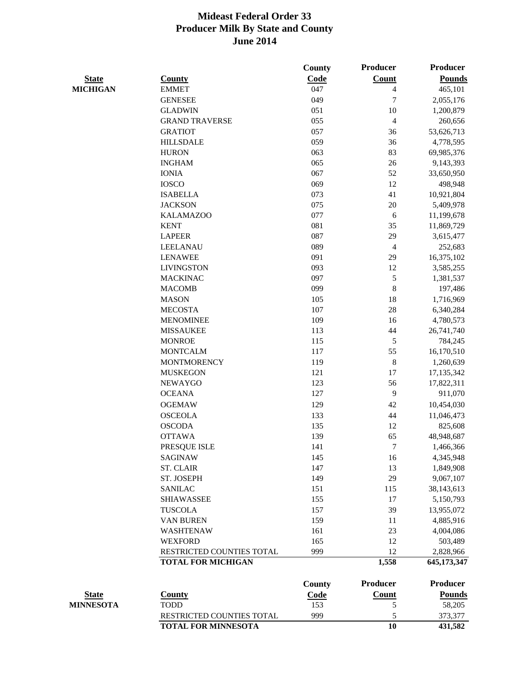|                  |                            | <b>County</b> | <b>Producer</b> | <b>Producer</b> |
|------------------|----------------------------|---------------|-----------------|-----------------|
| <b>State</b>     | <b>County</b>              | Code          | <b>Count</b>    | <b>Pounds</b>   |
| <b>MICHIGAN</b>  | <b>EMMET</b>               | 047           | $\overline{4}$  | 465,101         |
|                  | <b>GENESEE</b>             | 049           | $\tau$          | 2,055,176       |
|                  | <b>GLADWIN</b>             | 051           | 10              | 1,200,879       |
|                  | <b>GRAND TRAVERSE</b>      | 055           | $\overline{4}$  | 260,656         |
|                  | <b>GRATIOT</b>             | 057           | 36              | 53,626,713      |
|                  | <b>HILLSDALE</b>           | 059           | 36              | 4,778,595       |
|                  | <b>HURON</b>               | 063           | 83              | 69,985,376      |
|                  | <b>INGHAM</b>              | 065           | 26              | 9,143,393       |
|                  | <b>IONIA</b>               | 067           | 52              | 33,650,950      |
|                  | <b>IOSCO</b>               | 069           | 12              | 498,948         |
|                  | <b>ISABELLA</b>            | 073           | 41              | 10,921,804      |
|                  | <b>JACKSON</b>             | 075           | 20              | 5,409,978       |
|                  | <b>KALAMAZOO</b>           | 077           | 6               | 11,199,678      |
|                  | <b>KENT</b>                | 081           | 35              | 11,869,729      |
|                  | <b>LAPEER</b>              | 087           | 29              | 3,615,477       |
|                  | <b>LEELANAU</b>            | 089           | $\overline{4}$  | 252,683         |
|                  | <b>LENAWEE</b>             | 091           | 29              | 16,375,102      |
|                  | <b>LIVINGSTON</b>          | 093           | 12              | 3,585,255       |
|                  | <b>MACKINAC</b>            | 097           | $\mathfrak{S}$  |                 |
|                  | <b>MACOMB</b>              | 099           | 8               | 1,381,537       |
|                  |                            |               |                 | 197,486         |
|                  | <b>MASON</b>               | 105           | 18              | 1,716,969       |
|                  | <b>MECOSTA</b>             | 107           | 28              | 6,340,284       |
|                  | <b>MENOMINEE</b>           | 109           | 16              | 4,780,573       |
|                  | <b>MISSAUKEE</b>           | 113           | 44              | 26,741,740      |
|                  | <b>MONROE</b>              | 115           | 5               | 784,245         |
|                  | <b>MONTCALM</b>            | 117           | 55              | 16,170,510      |
|                  | <b>MONTMORENCY</b>         | 119           | 8               | 1,260,639       |
|                  | <b>MUSKEGON</b>            | 121           | 17              | 17,135,342      |
|                  | <b>NEWAYGO</b>             | 123           | 56              | 17,822,311      |
|                  | <b>OCEANA</b>              | 127           | 9               | 911,070         |
|                  | <b>OGEMAW</b>              | 129           | 42              | 10,454,030      |
|                  | <b>OSCEOLA</b>             | 133           | 44              | 11,046,473      |
|                  | <b>OSCODA</b>              | 135           | 12              | 825,608         |
|                  | <b>OTTAWA</b>              | 139           | 65              | 48,948,687      |
|                  | PRESQUE ISLE               | 141           | 7               | 1,466,366       |
|                  | <b>SAGINAW</b>             | 145           | 16              | 4,345,948       |
|                  | <b>ST. CLAIR</b>           | 147           | 13              | 1,849,908       |
|                  | ST. JOSEPH                 | 149           | 29              | 9,067,107       |
|                  | <b>SANILAC</b>             | 151           | 115             | 38,143,613      |
|                  | <b>SHIAWASSEE</b>          | 155           | 17              | 5,150,793       |
|                  | <b>TUSCOLA</b>             | 157           | 39              | 13,955,072      |
|                  | <b>VAN BUREN</b>           | 159           | 11              | 4,885,916       |
|                  | <b>WASHTENAW</b>           | 161           | 23              | 4,004,086       |
|                  | <b>WEXFORD</b>             | 165           | 12              | 503,489         |
|                  | RESTRICTED COUNTIES TOTAL  | 999           | 12              | 2,828,966       |
|                  | <b>TOTAL FOR MICHIGAN</b>  |               | 1,558           | 645,173,347     |
|                  |                            | <b>County</b> | <b>Producer</b> | Producer        |
| <b>State</b>     | <b>County</b>              | <b>Code</b>   | <b>Count</b>    | <b>Pounds</b>   |
| <b>MINNESOTA</b> | <b>TODD</b>                | 153           | 5               | 58,205          |
|                  | RESTRICTED COUNTIES TOTAL  | 999           | 5               | 373,377         |
|                  | <b>TOTAL FOR MINNESOTA</b> |               | 10              | 431,582         |
|                  |                            |               |                 |                 |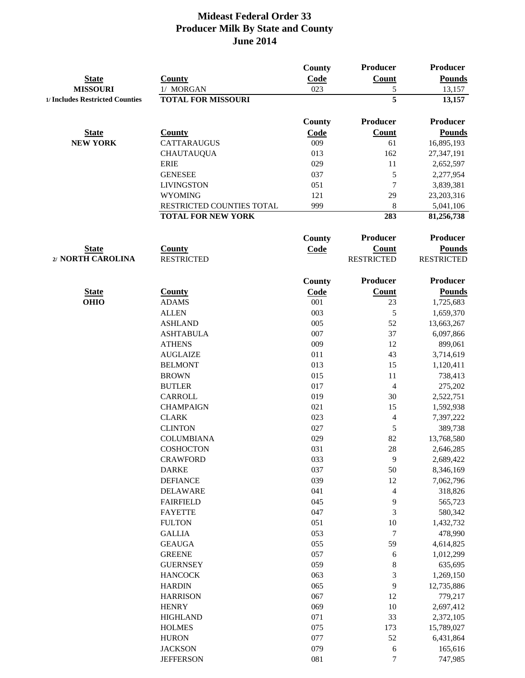|                                   |                                    | County        | Producer                          | <b>Producer</b>                    |
|-----------------------------------|------------------------------------|---------------|-----------------------------------|------------------------------------|
| <b>State</b>                      | <b>County</b>                      | Code          | <b>Count</b>                      | <b>Pounds</b>                      |
| <b>MISSOURI</b>                   | 1/ MORGAN                          | 023           | 5                                 | 13,157                             |
| 1/ Includes Restricted Counties   | <b>TOTAL FOR MISSOURI</b>          |               | $\overline{5}$                    | 13,157                             |
|                                   |                                    | <b>County</b> | Producer                          | Producer                           |
| <b>State</b>                      | <b>County</b>                      | Code          | Count                             | <b>Pounds</b>                      |
| <b>NEW YORK</b>                   | <b>CATTARAUGUS</b>                 | 009           | 61                                | 16,895,193                         |
|                                   | <b>CHAUTAUQUA</b>                  | 013           | 162                               | 27,347,191                         |
|                                   | <b>ERIE</b>                        | 029           | 11                                | 2,652,597                          |
|                                   | <b>GENESEE</b>                     | 037           | $\mathfrak{S}$                    | 2,277,954                          |
|                                   | <b>LIVINGSTON</b>                  | 051           | $\overline{7}$                    | 3,839,381                          |
|                                   | <b>WYOMING</b>                     | 121           | 29                                | 23,203,316                         |
|                                   | RESTRICTED COUNTIES TOTAL          | 999           | 8                                 | 5,041,106                          |
|                                   | <b>TOTAL FOR NEW YORK</b>          |               | 283                               | 81,256,738                         |
|                                   |                                    |               | Producer                          | Producer                           |
|                                   |                                    | <b>County</b> |                                   |                                    |
| <b>State</b><br>2/ NORTH CAROLINA | <b>County</b><br><b>RESTRICTED</b> | Code          | <b>Count</b><br><b>RESTRICTED</b> | <b>Pounds</b><br><b>RESTRICTED</b> |
|                                   |                                    |               |                                   |                                    |
|                                   |                                    | <b>County</b> | Producer                          | <b>Producer</b>                    |
| <b>State</b>                      | <b>County</b>                      | <b>Code</b>   | <b>Count</b>                      | <b>Pounds</b>                      |
| <b>OHIO</b>                       | <b>ADAMS</b>                       | 001           | 23                                | 1,725,683                          |
|                                   | <b>ALLEN</b>                       | 003           | 5                                 | 1,659,370                          |
|                                   | <b>ASHLAND</b>                     | 005           | 52                                | 13,663,267                         |
|                                   | <b>ASHTABULA</b>                   | 007           | 37                                | 6,097,866                          |
|                                   | <b>ATHENS</b>                      | 009           | 12                                | 899,061                            |
|                                   | <b>AUGLAIZE</b>                    | 011           | 43                                | 3,714,619                          |
|                                   | <b>BELMONT</b>                     | 013           | 15                                | 1,120,411                          |
|                                   | <b>BROWN</b>                       | 015<br>017    | 11<br>$\overline{4}$              | 738,413                            |
|                                   | <b>BUTLER</b><br><b>CARROLL</b>    | 019           | 30                                | 275,202                            |
|                                   | <b>CHAMPAIGN</b>                   | 021           | 15                                | 2,522,751<br>1,592,938             |
|                                   | <b>CLARK</b>                       | 023           | $\overline{\mathcal{A}}$          | 7,397,222                          |
|                                   | <b>CLINTON</b>                     | 027           | 5                                 | 389,738                            |
|                                   | <b>COLUMBIANA</b>                  | 029           | 82                                | 13,768,580                         |
|                                   | <b>COSHOCTON</b>                   | 031           | 28                                | 2,646,285                          |
|                                   | <b>CRAWFORD</b>                    | 033           | 9                                 | 2,689,422                          |
|                                   | <b>DARKE</b>                       | 037           | 50                                | 8,346,169                          |
|                                   | <b>DEFIANCE</b>                    | 039           | 12                                | 7,062,796                          |
|                                   | <b>DELAWARE</b>                    | 041           | 4                                 | 318,826                            |
|                                   | <b>FAIRFIELD</b>                   | 045           | 9                                 | 565,723                            |
|                                   | <b>FAYETTE</b>                     | 047           | 3                                 | 580,342                            |
|                                   | <b>FULTON</b>                      | 051           | 10                                | 1,432,732                          |
|                                   | <b>GALLIA</b>                      | 053           | $\tau$                            | 478,990                            |
|                                   | <b>GEAUGA</b>                      | 055           | 59                                | 4,614,825                          |
|                                   | <b>GREENE</b>                      | 057           | $\boldsymbol{6}$                  | 1,012,299                          |
|                                   | <b>GUERNSEY</b>                    | 059           | $8\,$                             | 635,695                            |
|                                   | <b>HANCOCK</b>                     | 063           | 3                                 | 1,269,150                          |
|                                   | <b>HARDIN</b>                      | 065           | 9                                 | 12,735,886                         |
|                                   | <b>HARRISON</b>                    | 067           | 12                                | 779,217                            |
|                                   | <b>HENRY</b>                       | 069           | 10                                | 2,697,412                          |
|                                   | <b>HIGHLAND</b>                    | 071           | 33                                | 2,372,105                          |
|                                   | <b>HOLMES</b>                      | 075           | 173                               | 15,789,027                         |
|                                   | <b>HURON</b>                       | 077           | 52                                | 6,431,864                          |
|                                   | <b>JACKSON</b>                     | 079           | 6                                 | 165,616                            |
|                                   | <b>JEFFERSON</b>                   | 081           | $\overline{7}$                    | 747,985                            |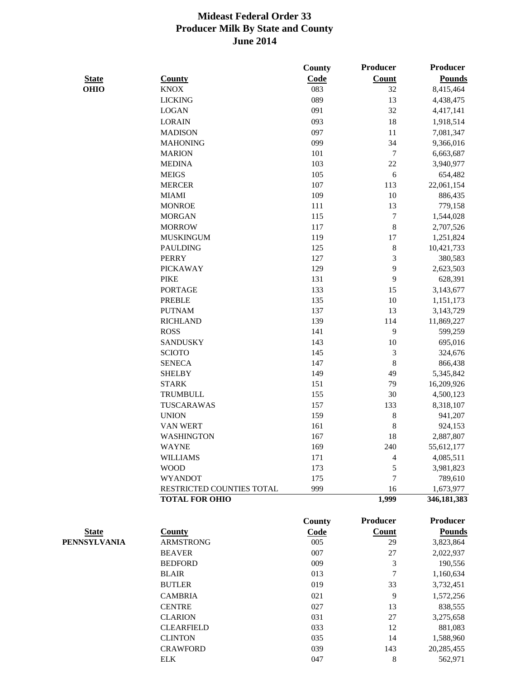|              |                           | County        | <b>Producer</b>          | <b>Producer</b> |
|--------------|---------------------------|---------------|--------------------------|-----------------|
| <b>State</b> | <b>County</b>             | Code          | <b>Count</b>             | <b>Pounds</b>   |
| <b>OHIO</b>  | <b>KNOX</b>               | 083           | 32                       | 8,415,464       |
|              | <b>LICKING</b>            | 089           | 13                       | 4,438,475       |
|              | <b>LOGAN</b>              | 091           | 32                       | 4,417,141       |
|              | <b>LORAIN</b>             | 093           | 18                       | 1,918,514       |
|              | <b>MADISON</b>            | 097           | 11                       | 7,081,347       |
|              | <b>MAHONING</b>           | 099           | 34                       | 9,366,016       |
|              | <b>MARION</b>             | 101           | $\tau$                   | 6,663,687       |
|              | <b>MEDINA</b>             | 103           | $22\,$                   | 3,940,977       |
|              | <b>MEIGS</b>              | 105           | 6                        | 654,482         |
|              | <b>MERCER</b>             | 107           | 113                      | 22,061,154      |
|              | <b>MIAMI</b>              | 109           | 10                       | 886,435         |
|              | <b>MONROE</b>             | 111           | 13                       | 779,158         |
|              | <b>MORGAN</b>             | 115           | $\tau$                   | 1,544,028       |
|              | <b>MORROW</b>             | 117           | $8\,$                    | 2,707,526       |
|              | <b>MUSKINGUM</b>          | 119           | 17                       | 1,251,824       |
|              | <b>PAULDING</b>           | 125           | $8\,$                    | 10,421,733      |
|              | <b>PERRY</b>              | 127           | 3                        | 380,583         |
|              | <b>PICKAWAY</b>           | 129           | 9                        | 2,623,503       |
|              | <b>PIKE</b>               | 131           | 9                        | 628,391         |
|              | <b>PORTAGE</b>            | 133           | 15                       | 3,143,677       |
|              | <b>PREBLE</b>             | 135           | 10                       | 1,151,173       |
|              | <b>PUTNAM</b>             | 137           | 13                       | 3,143,729       |
|              | <b>RICHLAND</b>           | 139           | 114                      | 11,869,227      |
|              | <b>ROSS</b>               | 141           | 9                        | 599,259         |
|              | <b>SANDUSKY</b>           | 143           | 10                       | 695,016         |
|              | <b>SCIOTO</b>             | 145           | 3                        | 324,676         |
|              | <b>SENECA</b>             | 147           | $8\,$                    | 866,438         |
|              | <b>SHELBY</b>             | 149           | 49                       | 5,345,842       |
|              | <b>STARK</b>              | 151           | 79                       | 16,209,926      |
|              | <b>TRUMBULL</b>           | 155           | 30                       | 4,500,123       |
|              | TUSCARAWAS                | 157           | 133                      | 8,318,107       |
|              | <b>UNION</b>              | 159           | 8                        | 941,207         |
|              | <b>VAN WERT</b>           | 161           | 8                        | 924,153         |
|              | <b>WASHINGTON</b>         | 167           | 18                       | 2,887,807       |
|              | <b>WAYNE</b>              | 169           | 240                      | 55,612,177      |
|              | <b>WILLIAMS</b>           | 171           | $\overline{\mathcal{A}}$ | 4,085,511       |
|              | <b>WOOD</b>               | 173           | 5                        | 3,981,823       |
|              | <b>WYANDOT</b>            | 175           | $\overline{7}$           | 789,610         |
|              | RESTRICTED COUNTIES TOTAL | 999           | 16                       | 1,673,977       |
|              | <b>TOTAL FOR OHIO</b>     |               | 1,999                    | 346,181,383     |
|              |                           | <b>County</b> | <b>Producer</b>          | <b>Producer</b> |
| <b>State</b> | <b>County</b>             | Code          | <b>Count</b>             | <b>Pounds</b>   |
| PENNSYLVANIA | <b>ARMSTRONG</b>          | 005           | 29                       | 3,823,864       |
|              | <b>BEAVER</b>             | 007           | 27                       | 2,022,937       |
|              | <b>BEDFORD</b>            | 009           | 3                        | 190,556         |
|              | <b>BLAIR</b>              | 013           | $\overline{7}$           | 1,160,634       |
|              | <b>BUTLER</b>             | 019           | 33                       | 3,732,451       |
|              | <b>CAMBRIA</b>            | 021           | 9                        | 1,572,256       |
|              | <b>CENTRE</b>             | 027           | 13                       | 838,555         |
|              | <b>CLARION</b>            | 031           | 27                       | 3,275,658       |
|              | <b>CLEARFIELD</b>         | 033           | 12                       | 881,083         |
|              | <b>CLINTON</b>            | 035           | 14                       | 1,588,960       |
|              | <b>CRAWFORD</b>           | 039           | 143                      | 20,285,455      |
|              | <b>ELK</b>                | 047           | 8                        | 562,971         |